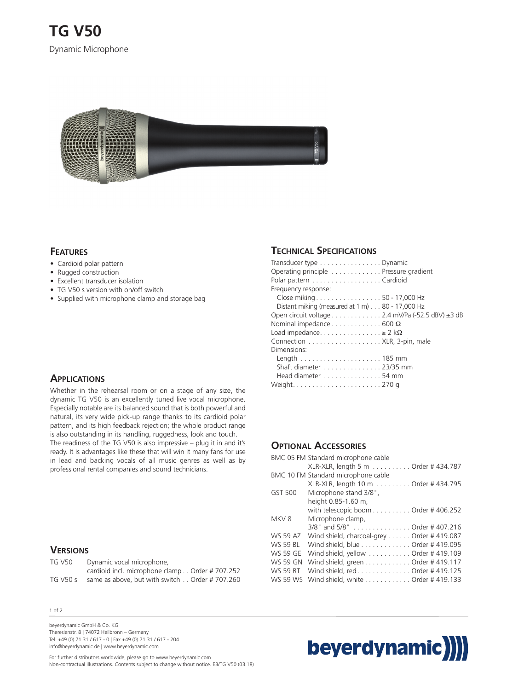

#### **FEATURES**

- Cardioid polar pattern
- Rugged construction
- Excellent transducer isolation
- TG V50 s version with on/off switch
- Supplied with microphone clamp and storage bag

#### **APPLICATIONS**

Whether in the rehearsal room or on a stage of any size, the dynamic TG V50 is an excellently tuned live vocal microphone. Especially notable are its balanced sound that is both powerful and natural, its very wide pick-up range thanks to its cardioid polar pattern, and its high feedback rejection; the whole product range is also outstanding in its handling, ruggedness, look and touch. The readiness of the TG V50 is also impressive – plug it in and it's ready. It is advantages like these that will win it many fans for use in lead and backing vocals of all music genres as well as by professional rental companies and sound technicians.

#### **VERSIONS**

| TG V50   | Dynamic vocal microphone,                      |
|----------|------------------------------------------------|
|          | cardioid incl. microphone clamp Order #707.252 |
| TG V50 s | same as above, but with switch Order # 707.260 |

#### 1 of 2

beyerdynamic GmbH & Co. KG Theresienstr. 8 | 74072 Heilbronn – Germany Tel. +49 (0) 71 31 / 617 - 0 | Fax +49 (0) 71 31 / 617 - 204 info@beyerdynamic.de | www.beyerdynamic.com

## **TECHNICAL SPECIFICATIONS**

| Transducer type Dynamic                                    |  |
|------------------------------------------------------------|--|
| Operating principle Pressure gradient                      |  |
| Polar pattern Cardioid                                     |  |
| Frequency response:                                        |  |
| Close miking50 - 17,000 Hz                                 |  |
| Distant miking (measured at $1 \text{ m}$ ) 80 - 17,000 Hz |  |
| Open circuit voltage 2.4 mV/Pa (-52.5 dBV) ±3 dB           |  |
| Nominal impedance $\dots \dots \dots \dots 600 \Omega$     |  |
| Load impedance $\geq 2$ k $\Omega$                         |  |
|                                                            |  |
| Dimensions:                                                |  |
|                                                            |  |
| Shaft diameter 23/35 mm                                    |  |
| Head diameter 54 mm                                        |  |
|                                                            |  |

## **OPTIONAL ACCESSORIES**

|                 | BMC 05 FM Standard microphone cable       |
|-----------------|-------------------------------------------|
|                 | XLR-XLR, length 5 m Order # 434.787       |
|                 | BMC 10 FM Standard microphone cable       |
|                 | XLR-XLR, length 10 m Order # 434.795      |
| GST 500         | Microphone stand 3/8",                    |
|                 | height 0.85-1.60 m,                       |
|                 | with telescopic boom Order # 406.252      |
| MKV8            | Microphone clamp,                         |
|                 | 3/8" and 5/8" Order # 407.216             |
| <b>WS 59 AZ</b> | Wind shield, charcoal-grey Order #419.087 |
| <b>WS 59 BL</b> | Wind shield, blue Order # 419.095         |
| <b>WS 59 GE</b> | Wind shield, yellow Order # 419.109       |
| <b>WS 59 GN</b> | Wind shield, green Order # 419.117        |
| WS 59 RT        | Wind shield, redOrder #419.125            |
| <b>WS 59 WS</b> | Wind shield, white Order # 419.133        |



For further distributors worldwide, please go to www.beyerdynamic.com Non-contractual illustrations. Contents subject to change without notice. E3/TG V50 (03.18)